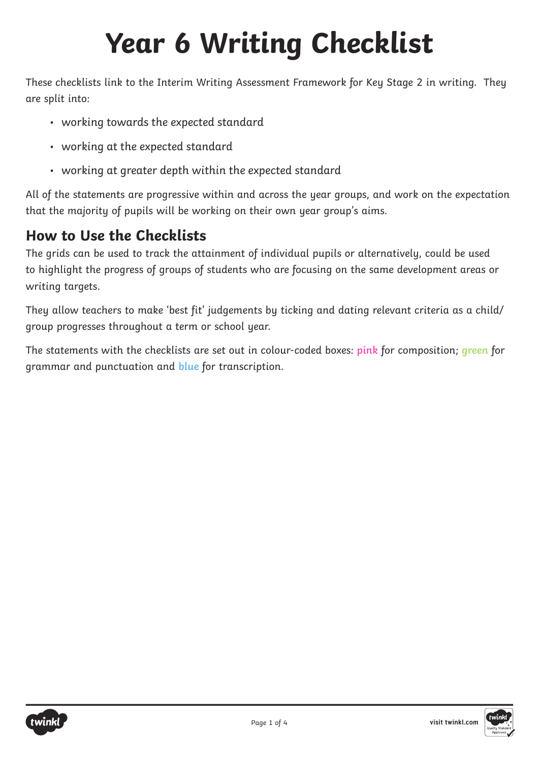These checklists link to the Interim Writing Assessment Framework for Key Stage 2 in writing. They are split into:

- working towards the expected standard
- working at the expected standard
- working at greater depth within the expected standard

All of the statements are progressive within and across the year groups, and work on the expectation that the majority of pupils will be working on their own year group's aims.

### **How to Use the Checklists**

The grids can be used to track the attainment of individual pupils or alternatively, could be used to highlight the progress of groups of students who are focusing on the same development areas or writing targets.

They allow teachers to make 'best fit' judgements by ticking and dating relevant criteria as a child/ group progresses throughout a term or school year.

The statements with the checklists are set out in colour-coded boxes: **pink** for composition; **green** for grammar and punctuation and **blue** for transcription.



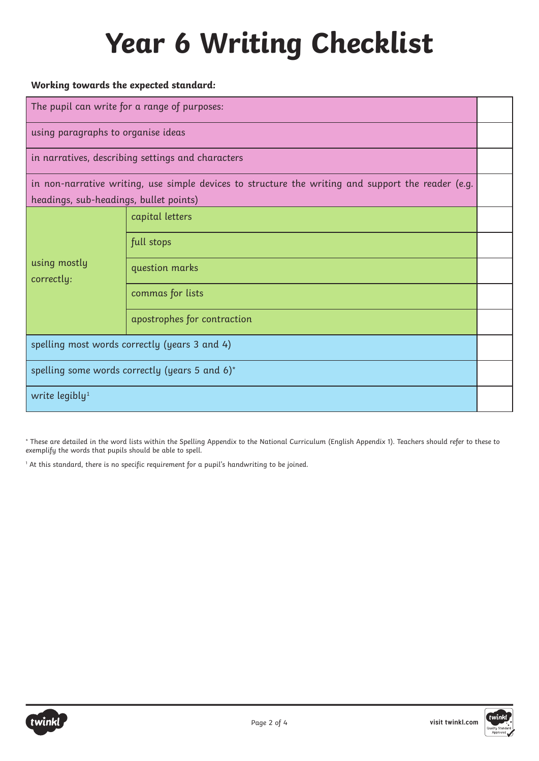### **Working towards the expected standard:**

| The pupil can write for a range of purposes:                                                       |                             |  |
|----------------------------------------------------------------------------------------------------|-----------------------------|--|
| using paragraphs to organise ideas                                                                 |                             |  |
| in narratives, describing settings and characters                                                  |                             |  |
| in non-narrative writing, use simple devices to structure the writing and support the reader (e.g. |                             |  |
| headings, sub-headings, bullet points)                                                             |                             |  |
|                                                                                                    | capital letters             |  |
| using mostly<br>correctly:                                                                         | full stops                  |  |
|                                                                                                    | question marks              |  |
|                                                                                                    | commas for lists            |  |
|                                                                                                    | apostrophes for contraction |  |
| spelling most words correctly (years 3 and 4)                                                      |                             |  |
| spelling some words correctly (years 5 and 6)*                                                     |                             |  |
| write legibly <sup>1</sup>                                                                         |                             |  |

\* These are detailed in the word lists within the Spelling Appendix to the National Curriculum (English Appendix 1). Teachers should refer to these to exemplify the words that pupils should be able to spell.

1 At this standard, there is no specific requirement for a pupil's handwriting to be joined.



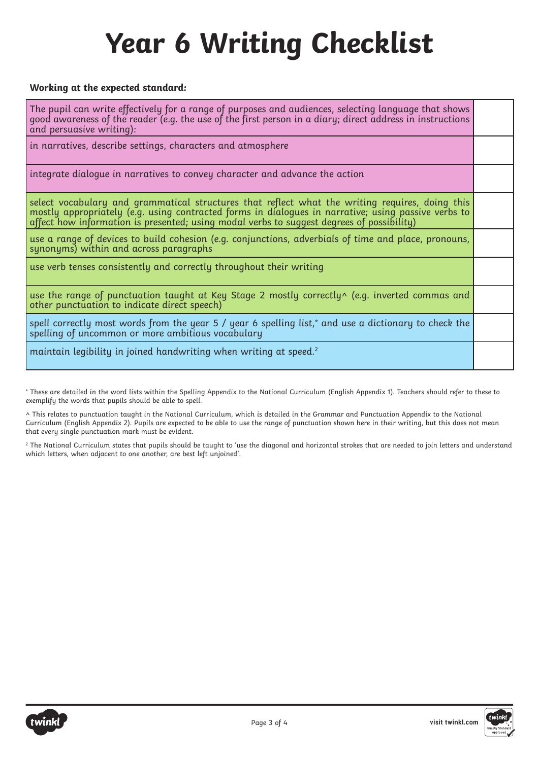#### **Working at the expected standard:**

The pupil can write effectively for a range of purposes and audiences, selecting language that shows good awareness of the reader (e.g. the use of the first person in a diary; direct address in instructions and persuasive writing):

in narratives, describe settings, characters and atmosphere

integrate dialogue in narratives to convey character and advance the action

select vocabulary and grammatical structures that reflect what the writing requires, doing this mostly appropriately (e.g. using contracted forms in dialogues in narrative; using passive verbs to affect how information is presented; using modal verbs to suggest degrees of possibility)

use a range of devices to build cohesion (e.g. conjunctions, adverbials of time and place, pronouns, synonyms) within and across paragraphs

use verb tenses consistently and correctly throughout their writing

use the range of punctuation taught at Key Stage 2 mostly correctly^ (e.g. inverted commas and other punctuation to indicate direct speech)

spell correctly most words from the year 5 / year 6 spelling list,\* and use a dictionary to check the spelling of uncommon or more ambitious vocabulary

maintain legibility in joined handwriting when writing at speed.<sup>2</sup>

\* These are detailed in the word lists within the Spelling Appendix to the National Curriculum (English Appendix 1). Teachers should refer to these to exemplify the words that pupils should be able to spell.

^ This relates to punctuation taught in the National Curriculum, which is detailed in the Grammar and Punctuation Appendix to the National Curriculum (English Appendix 2). Pupils are expected to be able to use the range of punctuation shown here in their writing, but this does not mean that every single punctuation mark must be evident.

2 The National Curriculum states that pupils should be taught to 'use the diagonal and horizontal strokes that are needed to join letters and understand which letters, when adjacent to one another, are best left unjoined'.